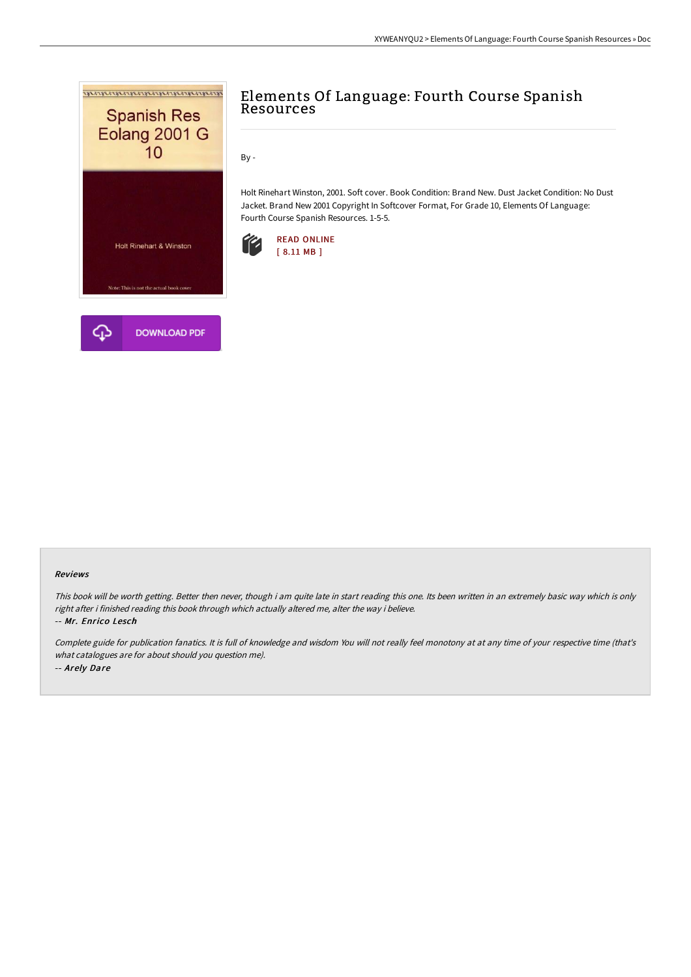

# Elements Of Language: Fourth Course Spanish Resources

By -

Holt Rinehart Winston, 2001. Soft cover. Book Condition: Brand New. Dust Jacket Condition: No Dust Jacket. Brand New 2001 Copyright In Softcover Format, For Grade 10, Elements Of Language: Fourth Course Spanish Resources. 1-5-5.



### Reviews

This book will be worth getting. Better then never, though i am quite late in start reading this one. Its been written in an extremely basic way which is only right after i finished reading this book through which actually altered me, alter the way i believe.

#### -- Mr. Enrico Lesch

Complete guide for publication fanatics. It is full of knowledge and wisdom You will not really feel monotony at at any time of your respective time (that's what catalogues are for about should you question me). -- Arely Dare